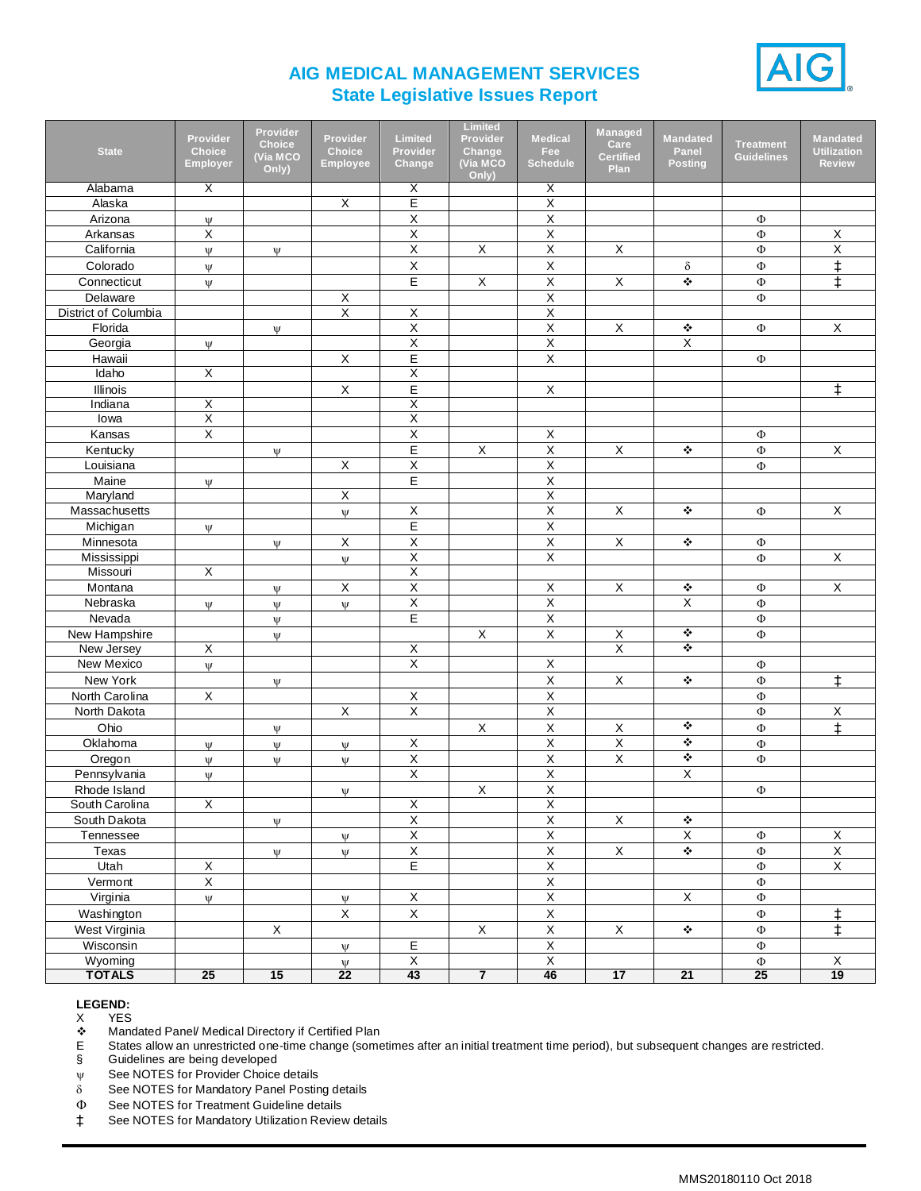

## **AIG MEDICAL MANAGEMENT SERVICES State Legislative Issues Report**

|                                |                         | Provider        |                 |                           | Limited           |                                        | Managed                 |                      |                   |                    |
|--------------------------------|-------------------------|-----------------|-----------------|---------------------------|-------------------|----------------------------------------|-------------------------|----------------------|-------------------|--------------------|
|                                | Provider                | <b>Choice</b>   | Provider        | <b>Limited</b>            | Provider          | <b>Medical</b>                         | Care                    | <b>Mandated</b>      | Treatment         | <b>Mandated</b>    |
| <b>State</b>                   | <b>Choice</b>           | <b>(Via MCO</b> | <b>Choice</b>   | Provider                  | Change            | Fee<br><b>Schedule</b>                 | <b>Certified</b>        | Panel                | <b>Guidelines</b> | <b>Utilization</b> |
|                                | <b>Employer</b>         | Only)           | Employee        | Change                    | (Via MCO<br>Only) |                                        | Plan                    | <b>Posting</b>       |                   | <b>Review</b>      |
| Alabama                        | X                       |                 |                 | X                         |                   | X                                      |                         |                      |                   |                    |
| Alaska                         |                         |                 | $\overline{X}$  | Е                         |                   | Χ                                      |                         |                      |                   |                    |
| Arizona                        | Ψ                       |                 |                 | $\overline{X}$            |                   | Χ                                      |                         |                      | $\Phi$            |                    |
| Arkansas                       | $\mathsf X$             |                 |                 | $\sf X$                   |                   | X                                      |                         |                      | Φ                 | $\mathsf X$        |
| California                     | $\Psi$                  | $\Psi$          |                 | $\mathsf X$               | X                 | $\mathsf X$                            | $\mathsf X$             |                      | Ф                 | Χ                  |
| Colorado                       | $\Psi$                  |                 |                 | $\mathsf X$               |                   | $\mathsf X$                            |                         | δ                    | Φ                 | $\ddagger$         |
| Connecticut                    | $\Psi$                  |                 |                 | $\mathsf E$               | $\mathsf X$       | $\sf X$                                | $\mathsf X$             | ❖                    | Ф                 | $\ddagger$         |
| Delaware                       |                         |                 | $\mathsf X$     |                           |                   | $\overline{\mathsf{x}}$                |                         |                      | Φ                 |                    |
| District of Columbia           |                         |                 | $\overline{X}$  | $\overline{X}$            |                   | $\overline{\mathsf{X}}$                |                         |                      |                   |                    |
| Florida                        |                         | $\Psi$          |                 | $\mathsf X$               |                   | $\mathsf X$                            | $\mathsf X$             | ❖                    | Ф                 | $\mathsf X$        |
| Georgia                        | $\Psi$                  |                 |                 | $\overline{X}$            |                   | $\overline{X}$                         |                         | X                    |                   |                    |
| Hawaii                         |                         |                 | $\mathsf X$     | E                         |                   | $\mathsf X$                            |                         |                      | Φ                 |                    |
| Idaho                          | $\overline{X}$          |                 |                 | $\overline{\mathsf{x}}$   |                   |                                        |                         |                      |                   |                    |
| Illinois                       |                         |                 | $\mathsf X$     | $\mathsf E$               |                   | X                                      |                         |                      |                   | ŧ                  |
| Indiana                        | $\overline{\mathsf{x}}$ |                 |                 | $\boldsymbol{\mathsf{X}}$ |                   |                                        |                         |                      |                   |                    |
| lowa                           | $\overline{\mathsf{x}}$ |                 |                 | X                         |                   |                                        |                         |                      |                   |                    |
| Kansas                         | $\overline{\mathsf{x}}$ |                 |                 | $\overline{X}$            |                   | $\mathsf X$                            |                         |                      | Φ                 |                    |
| Kentucky                       |                         | $\Psi$          |                 | $\overline{E}$            | X                 | $\overline{X}$                         | $\mathsf X$             | ❖                    | Ф                 | X                  |
| Louisiana                      |                         |                 | $\mathsf X$     | $\mathsf X$               |                   | $\mathsf X$                            |                         |                      | Ф                 |                    |
| Maine                          | $\Psi$                  |                 |                 | E                         |                   | $\mathsf X$                            |                         |                      |                   |                    |
| Maryland                       |                         |                 | $\overline{X}$  |                           |                   | $\overline{X}$                         |                         |                      |                   |                    |
| Massachusetts                  |                         |                 | $\Psi$          | X                         |                   | $\mathsf X$                            | $\mathsf X$             | ٠                    | Φ                 | $\mathsf X$        |
| Michigan                       | Ψ                       |                 |                 | E                         |                   | $\mathsf X$                            |                         |                      |                   |                    |
| Minnesota                      |                         | $\Psi$          | $\mathsf X$     | $\overline{X}$            |                   | $\overline{X}$                         | $\mathsf X$             | ❖                    | Ф                 |                    |
| Mississippi                    |                         |                 | $\Psi$          | $\overline{X}$            |                   | $\overline{X}$                         |                         |                      | Φ                 | $\mathsf X$        |
| Missouri                       | $\overline{X}$          |                 |                 | $\overline{\mathsf{X}}$   |                   |                                        |                         |                      |                   |                    |
| Montana                        |                         | $\Psi$          | X               | $\overline{X}$            |                   | X                                      | X                       | ❖                    | Ф                 | X                  |
| Nebraska                       | $\Psi$                  | $\Psi$          | $\Psi$          | $\overline{\mathsf{X}}$   |                   | $\overline{X}$                         |                         | $\overline{X}$       | Ф                 |                    |
| Nevada                         |                         | $\Psi$          |                 | E                         |                   | $\mathsf X$                            |                         |                      | Ф                 |                    |
| New Hampshire                  |                         | Ψ               |                 |                           | Χ                 | X                                      | $\mathsf X$             | ❖                    | Φ                 |                    |
| New Jersey                     | X                       |                 |                 | X                         |                   |                                        | $\overline{\mathsf{x}}$ | ❖                    |                   |                    |
| New Mexico                     | $\Psi$                  |                 |                 | X                         |                   | $\mathsf X$                            |                         |                      | Ф                 |                    |
| New York                       |                         | Ψ               |                 |                           |                   | $\mathsf X$                            | $\mathsf X$             | $\ddot{\phi}$        | Ф                 | $\ddagger$         |
| North Carolina                 | X                       |                 |                 | $\mathsf X$               |                   | $\overline{X}$                         |                         |                      | Ф                 |                    |
| North Dakota                   |                         |                 | $\overline{X}$  | $\overline{X}$            |                   | $\overline{X}$                         |                         |                      | Ф                 | X                  |
| Ohio                           |                         |                 |                 |                           | $\mathsf X$       | $\mathsf X$                            | $\mathsf X$             | ❖                    | Φ                 | $\ddagger$         |
| Oklahoma                       |                         | $\Psi$          |                 | X                         |                   | $\mathsf X$                            | $\mathsf X$             | ❖                    |                   |                    |
| Oregon                         | $\Psi$                  | Ψ               | $\Psi$          | $\overline{X}$            |                   | $\overline{X}$                         | $\overline{\mathsf{X}}$ | ❖                    | Φ<br>Φ            |                    |
|                                | $\Psi$                  | Ψ               | $\Psi$          | $\overline{X}$            |                   | $\overline{X}$                         |                         | $\overline{X}$       |                   |                    |
| Pennsylvania                   | $\Psi$                  |                 |                 |                           |                   | $\overline{\mathsf{x}}$                |                         |                      |                   |                    |
| Rhode Island<br>South Carolina | $\overline{\mathsf{x}}$ |                 | $\mathbf{U}$    | $\overline{\mathsf{X}}$   | X                 | $\overline{X}$                         |                         |                      | Φ                 |                    |
|                                |                         |                 |                 | $\overline{\mathsf{X}}$   |                   | $\overline{X}$                         |                         |                      |                   |                    |
| South Dakota                   |                         | $\Psi$          |                 |                           |                   |                                        | $\mathsf X$             | $\ddot{\ddot{\phi}}$ |                   |                    |
| Tennessee                      |                         |                 | $\Psi$          | $\mathsf X$               |                   | $\mathsf X$                            |                         | $\mathsf X$          | Ф                 | X                  |
| Texas                          |                         | $\Psi$          | $\psi$          | $\mathsf X$               |                   | $\mathsf X$<br>$\overline{\mathsf{x}}$ | $\mathsf X$             | $\ddot{\bullet}$     | Ф                 | $\mathsf X$        |
| Utah                           | $\mathsf X$             |                 |                 | $\overline{E}$            |                   |                                        |                         |                      | $\Phi$            | $\overline{X}$     |
| Vermont                        | $\overline{X}$          |                 |                 |                           |                   | $\overline{X}$                         |                         |                      | $\Phi$            |                    |
| Virginia                       | $\Psi$                  |                 | $\Psi$          | X                         |                   | $\overline{X}$                         |                         | X                    | Ф                 |                    |
| Washington                     |                         |                 | $\mathsf X$     | $\mathsf X$               |                   | $\mathsf X$                            |                         |                      | Ф                 | $\ddagger$         |
| West Virginia                  |                         | $\mathsf X$     |                 |                           | X                 | $\overline{\mathsf{X}}$                | X                       | $\ddot{\cdot}$       | Ф                 | $\ddagger$         |
| Wisconsin                      |                         |                 | $\Psi$          | $\mathsf E$               |                   | $\overline{X}$                         |                         |                      | $\Phi$            |                    |
| Wyoming                        |                         |                 | $\Psi$          | X                         |                   | $\mathsf X$                            |                         |                      | Ф                 | X                  |
| <b>TOTALS</b>                  | 25                      | 15              | $\overline{22}$ | 43                        | $\overline{7}$    | 46                                     | 17                      | 21                   | 25                | 19                 |

## **LEGEND:**

X YES<br>❖ Mano Mandated Panel/ Medical Directory if Certified Plan

E States allow an unrestricted one-time change (sometimes after an initial treatment time period), but subsequent changes are restricted.

§ Guidelines are being developed

 $\Psi$  See NOTES for Provider Choice details

 $\delta$  See NOTES for Mandatory Panel Posting details

See NOTES for Treatment Guideline details

‡ See NOTES for Mandatory Utilization Review details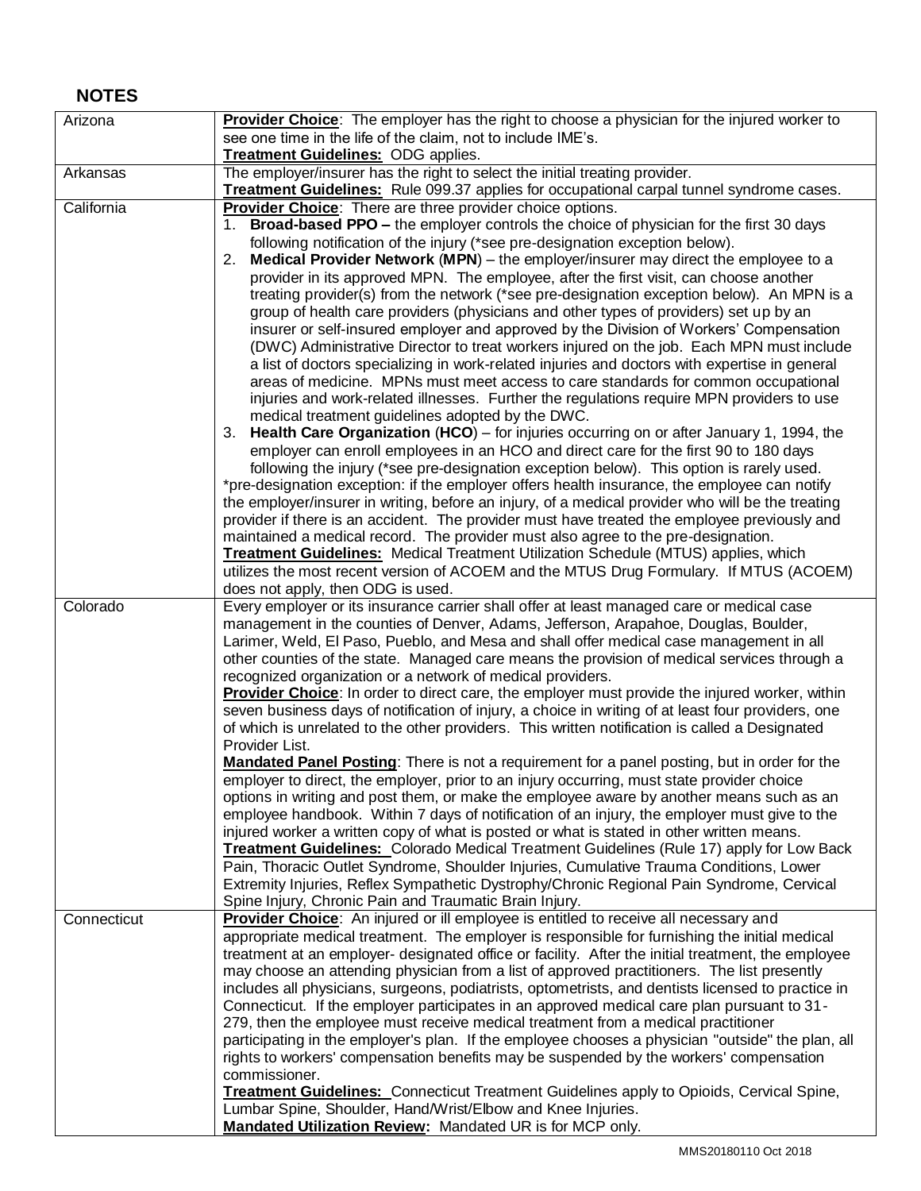## **NOTES**

| Arizona     | Provider Choice: The employer has the right to choose a physician for the injured worker to                                                                                               |
|-------------|-------------------------------------------------------------------------------------------------------------------------------------------------------------------------------------------|
|             | see one time in the life of the claim, not to include IME's.                                                                                                                              |
|             | <b>Treatment Guidelines: ODG applies.</b>                                                                                                                                                 |
| Arkansas    | The employer/insurer has the right to select the initial treating provider.                                                                                                               |
|             | <b>Treatment Guidelines:</b> Rule 099.37 applies for occupational carpal tunnel syndrome cases.                                                                                           |
| California  | Provider Choice: There are three provider choice options.                                                                                                                                 |
|             | 1. Broad-based PPO - the employer controls the choice of physician for the first 30 days                                                                                                  |
|             | following notification of the injury (*see pre-designation exception below).                                                                                                              |
|             | Medical Provider Network (MPN) – the employer/insurer may direct the employee to a<br>2.                                                                                                  |
|             | provider in its approved MPN. The employee, after the first visit, can choose another                                                                                                     |
|             | treating provider(s) from the network (*see pre-designation exception below). An MPN is a                                                                                                 |
|             | group of health care providers (physicians and other types of providers) set up by an                                                                                                     |
|             | insurer or self-insured employer and approved by the Division of Workers' Compensation                                                                                                    |
|             | (DWC) Administrative Director to treat workers injured on the job. Each MPN must include<br>a list of doctors specializing in work-related injuries and doctors with expertise in general |
|             | areas of medicine. MPNs must meet access to care standards for common occupational                                                                                                        |
|             | injuries and work-related illnesses. Further the regulations require MPN providers to use                                                                                                 |
|             | medical treatment guidelines adopted by the DWC.                                                                                                                                          |
|             | 3. Health Care Organization (HCO) – for injuries occurring on or after January 1, 1994, the                                                                                               |
|             | employer can enroll employees in an HCO and direct care for the first 90 to 180 days                                                                                                      |
|             | following the injury (*see pre-designation exception below). This option is rarely used.                                                                                                  |
|             | *pre-designation exception: if the employer offers health insurance, the employee can notify                                                                                              |
|             | the employer/insurer in writing, before an injury, of a medical provider who will be the treating                                                                                         |
|             | provider if there is an accident. The provider must have treated the employee previously and                                                                                              |
|             | maintained a medical record. The provider must also agree to the pre-designation.                                                                                                         |
|             | <b>Treatment Guidelines:</b> Medical Treatment Utilization Schedule (MTUS) applies, which                                                                                                 |
|             | utilizes the most recent version of ACOEM and the MTUS Drug Formulary. If MTUS (ACOEM)                                                                                                    |
|             | does not apply, then ODG is used.                                                                                                                                                         |
| Colorado    | Every employer or its insurance carrier shall offer at least managed care or medical case                                                                                                 |
|             | management in the counties of Denver, Adams, Jefferson, Arapahoe, Douglas, Boulder,                                                                                                       |
|             | Larimer, Weld, El Paso, Pueblo, and Mesa and shall offer medical case management in all<br>other counties of the state. Managed care means the provision of medical services through a    |
|             | recognized organization or a network of medical providers.                                                                                                                                |
|             | Provider Choice: In order to direct care, the employer must provide the injured worker, within                                                                                            |
|             | seven business days of notification of injury, a choice in writing of at least four providers, one                                                                                        |
|             | of which is unrelated to the other providers. This written notification is called a Designated                                                                                            |
|             | Provider List.                                                                                                                                                                            |
|             | <b>Mandated Panel Posting:</b> There is not a requirement for a panel posting, but in order for the                                                                                       |
|             | employer to direct, the employer, prior to an injury occurring, must state provider choice                                                                                                |
|             | options in writing and post them, or make the employee aware by another means such as an                                                                                                  |
|             | employee handbook. Within 7 days of notification of an injury, the employer must give to the                                                                                              |
|             | injured worker a written copy of what is posted or what is stated in other written means.                                                                                                 |
|             | <b>Treatment Guidelines:</b> Colorado Medical Treatment Guidelines (Rule 17) apply for Low Back                                                                                           |
|             | Pain, Thoracic Outlet Syndrome, Shoulder Injuries, Cumulative Trauma Conditions, Lower                                                                                                    |
|             | Extremity Injuries, Reflex Sympathetic Dystrophy/Chronic Regional Pain Syndrome, Cervical                                                                                                 |
|             | Spine Injury, Chronic Pain and Traumatic Brain Injury.                                                                                                                                    |
| Connecticut | Provider Choice: An injured or ill employee is entitled to receive all necessary and<br>appropriate medical treatment. The employer is responsible for furnishing the initial medical     |
|             | treatment at an employer- designated office or facility. After the initial treatment, the employee                                                                                        |
|             | may choose an attending physician from a list of approved practitioners. The list presently                                                                                               |
|             | includes all physicians, surgeons, podiatrists, optometrists, and dentists licensed to practice in                                                                                        |
|             | Connecticut. If the employer participates in an approved medical care plan pursuant to 31 -                                                                                               |
|             | 279, then the employee must receive medical treatment from a medical practitioner                                                                                                         |
|             | participating in the employer's plan. If the employee chooses a physician "outside" the plan, all                                                                                         |
|             | rights to workers' compensation benefits may be suspended by the workers' compensation                                                                                                    |
|             | commissioner.                                                                                                                                                                             |
|             | <b>Treatment Guidelines:</b> Connecticut Treatment Guidelines apply to Opioids, Cervical Spine,                                                                                           |
|             | Lumbar Spine, Shoulder, Hand/Wrist/Elbow and Knee Injuries.                                                                                                                               |
|             | Mandated Utilization Review: Mandated UR is for MCP only.                                                                                                                                 |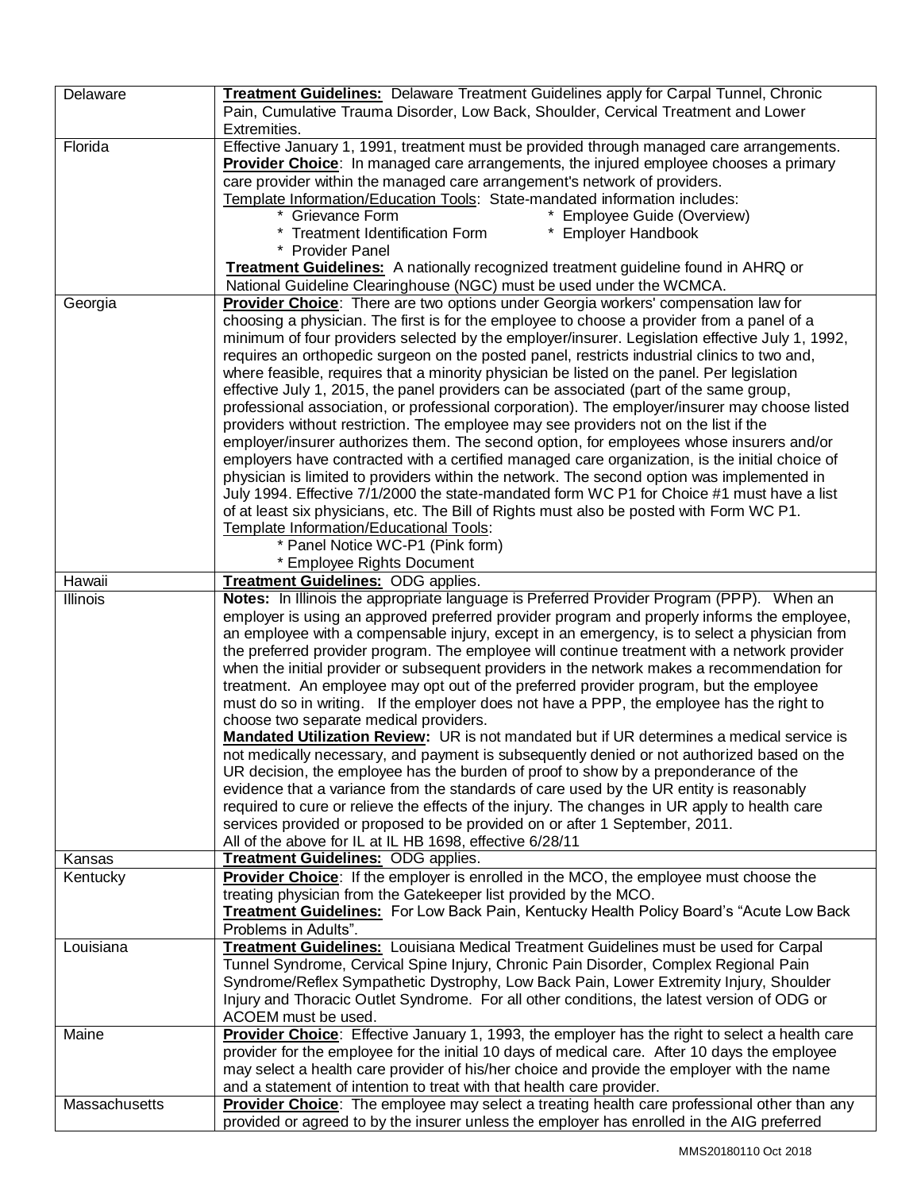| Delaware      | Treatment Guidelines: Delaware Treatment Guidelines apply for Carpal Tunnel, Chronic               |
|---------------|----------------------------------------------------------------------------------------------------|
|               | Pain, Cumulative Trauma Disorder, Low Back, Shoulder, Cervical Treatment and Lower                 |
|               | Extremities.                                                                                       |
| Florida       | Effective January 1, 1991, treatment must be provided through managed care arrangements.           |
|               | Provider Choice: In managed care arrangements, the injured employee chooses a primary              |
|               |                                                                                                    |
|               | care provider within the managed care arrangement's network of providers.                          |
|               | Template Information/Education Tools: State-mandated information includes:                         |
|               | * Grievance Form<br>* Employee Guide (Overview)                                                    |
|               | <b>Treatment Identification Form</b><br>* Employer Handbook                                        |
|               | * Provider Panel                                                                                   |
|               | <b>Treatment Guidelines:</b> A nationally recognized treatment guideline found in AHRQ or          |
|               | National Guideline Clearinghouse (NGC) must be used under the WCMCA.                               |
| Georgia       | Provider Choice: There are two options under Georgia workers' compensation law for                 |
|               | choosing a physician. The first is for the employee to choose a provider from a panel of a         |
|               | minimum of four providers selected by the employer/insurer. Legislation effective July 1, 1992,    |
|               | requires an orthopedic surgeon on the posted panel, restricts industrial clinics to two and,       |
|               | where feasible, requires that a minority physician be listed on the panel. Per legislation         |
|               | effective July 1, 2015, the panel providers can be associated (part of the same group,             |
|               | professional association, or professional corporation). The employer/insurer may choose listed     |
|               | providers without restriction. The employee may see providers not on the list if the               |
|               | employer/insurer authorizes them. The second option, for employees whose insurers and/or           |
|               | employers have contracted with a certified managed care organization, is the initial choice of     |
|               | physician is limited to providers within the network. The second option was implemented in         |
|               | July 1994. Effective 7/1/2000 the state-mandated form WC P1 for Choice #1 must have a list         |
|               | of at least six physicians, etc. The Bill of Rights must also be posted with Form WC P1.           |
|               |                                                                                                    |
|               | Template Information/Educational Tools:                                                            |
|               | * Panel Notice WC-P1 (Pink form)                                                                   |
|               | * Employee Rights Document                                                                         |
| Hawaii        | Treatment Guidelines: ODG applies.                                                                 |
| Illinois      | Notes: In Illinois the appropriate language is Preferred Provider Program (PPP). When an           |
|               | employer is using an approved preferred provider program and properly informs the employee,        |
|               | an employee with a compensable injury, except in an emergency, is to select a physician from       |
|               | the preferred provider program. The employee will continue treatment with a network provider       |
|               | when the initial provider or subsequent providers in the network makes a recommendation for        |
|               | treatment. An employee may opt out of the preferred provider program, but the employee             |
|               | must do so in writing. If the employer does not have a PPP, the employee has the right to          |
|               | choose two separate medical providers.                                                             |
|               | <b>Mandated Utilization Review:</b> UR is not mandated but if UR determines a medical service is   |
|               | not medically necessary, and payment is subsequently denied or not authorized based on the         |
|               | UR decision, the employee has the burden of proof to show by a preponderance of the                |
|               | evidence that a variance from the standards of care used by the UR entity is reasonably            |
|               | required to cure or relieve the effects of the injury. The changes in UR apply to health care      |
|               | services provided or proposed to be provided on or after 1 September, 2011.                        |
|               | All of the above for IL at IL HB 1698, effective 6/28/11                                           |
| Kansas        | Treatment Guidelines: ODG applies.                                                                 |
| Kentucky      | <b>Provider Choice:</b> If the employer is enrolled in the MCO, the employee must choose the       |
|               | treating physician from the Gatekeeper list provided by the MCO.                                   |
|               | Treatment Guidelines: For Low Back Pain, Kentucky Health Policy Board's "Acute Low Back            |
|               | Problems in Adults".                                                                               |
| Louisiana     | <b>Treatment Guidelines:</b> Louisiana Medical Treatment Guidelines must be used for Carpal        |
|               | Tunnel Syndrome, Cervical Spine Injury, Chronic Pain Disorder, Complex Regional Pain               |
|               |                                                                                                    |
|               | Syndrome/Reflex Sympathetic Dystrophy, Low Back Pain, Lower Extremity Injury, Shoulder             |
|               | Injury and Thoracic Outlet Syndrome. For all other conditions, the latest version of ODG or        |
|               | ACOEM must be used.                                                                                |
| Maine         | Provider Choice: Effective January 1, 1993, the employer has the right to select a health care     |
|               | provider for the employee for the initial 10 days of medical care. After 10 days the employee      |
|               | may select a health care provider of his/her choice and provide the employer with the name         |
|               | and a statement of intention to treat with that health care provider.                              |
| Massachusetts | <b>Provider Choice:</b> The employee may select a treating health care professional other than any |
|               | provided or agreed to by the insurer unless the employer has enrolled in the AIG preferred         |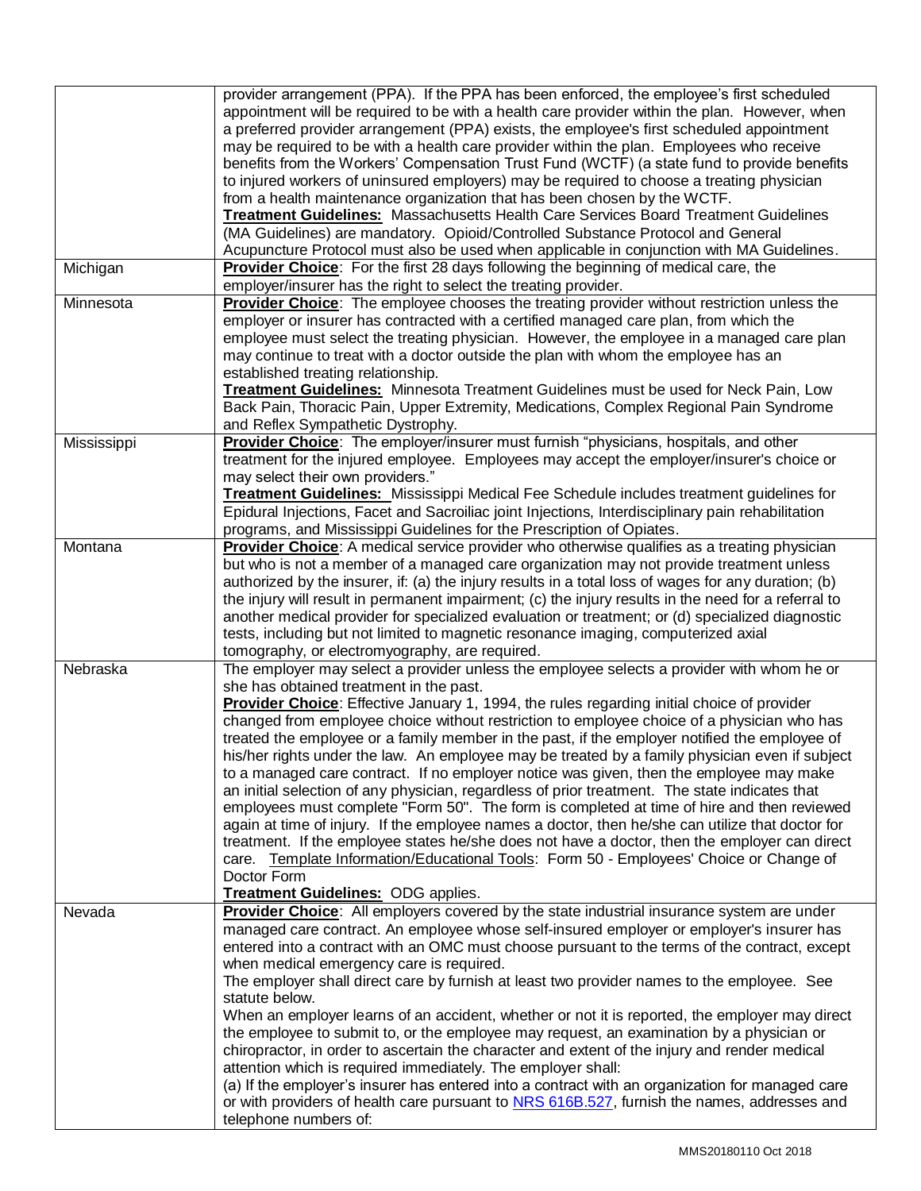|             | provider arrangement (PPA). If the PPA has been enforced, the employee's first scheduled<br>appointment will be required to be with a health care provider within the plan. However, when<br>a preferred provider arrangement (PPA) exists, the employee's first scheduled appointment<br>may be required to be with a health care provider within the plan. Employees who receive<br>benefits from the Workers' Compensation Trust Fund (WCTF) (a state fund to provide benefits<br>to injured workers of uninsured employers) may be required to choose a treating physician<br>from a health maintenance organization that has been chosen by the WCTF.<br><b>Treatment Guidelines:</b> Massachusetts Health Care Services Board Treatment Guidelines<br>(MA Guidelines) are mandatory. Opioid/Controlled Substance Protocol and General<br>Acupuncture Protocol must also be used when applicable in conjunction with MA Guidelines.                                                                                                                                                                                                                                           |
|-------------|------------------------------------------------------------------------------------------------------------------------------------------------------------------------------------------------------------------------------------------------------------------------------------------------------------------------------------------------------------------------------------------------------------------------------------------------------------------------------------------------------------------------------------------------------------------------------------------------------------------------------------------------------------------------------------------------------------------------------------------------------------------------------------------------------------------------------------------------------------------------------------------------------------------------------------------------------------------------------------------------------------------------------------------------------------------------------------------------------------------------------------------------------------------------------------|
| Michigan    | <b>Provider Choice:</b> For the first 28 days following the beginning of medical care, the<br>employer/insurer has the right to select the treating provider.                                                                                                                                                                                                                                                                                                                                                                                                                                                                                                                                                                                                                                                                                                                                                                                                                                                                                                                                                                                                                      |
| Minnesota   | <b>Provider Choice:</b> The employee chooses the treating provider without restriction unless the<br>employer or insurer has contracted with a certified managed care plan, from which the<br>employee must select the treating physician. However, the employee in a managed care plan<br>may continue to treat with a doctor outside the plan with whom the employee has an<br>established treating relationship.<br>Treatment Guidelines: Minnesota Treatment Guidelines must be used for Neck Pain, Low<br>Back Pain, Thoracic Pain, Upper Extremity, Medications, Complex Regional Pain Syndrome<br>and Reflex Sympathetic Dystrophy.                                                                                                                                                                                                                                                                                                                                                                                                                                                                                                                                         |
| Mississippi | Provider Choice: The employer/insurer must furnish "physicians, hospitals, and other<br>treatment for the injured employee. Employees may accept the employer/insurer's choice or<br>may select their own providers."<br><b>Treatment Guidelines:</b> Mississippi Medical Fee Schedule includes treatment guidelines for<br>Epidural Injections, Facet and Sacroiliac joint Injections, Interdisciplinary pain rehabilitation<br>programs, and Mississippi Guidelines for the Prescription of Opiates.                                                                                                                                                                                                                                                                                                                                                                                                                                                                                                                                                                                                                                                                             |
| Montana     | Provider Choice: A medical service provider who otherwise qualifies as a treating physician<br>but who is not a member of a managed care organization may not provide treatment unless<br>authorized by the insurer, if: (a) the injury results in a total loss of wages for any duration; (b)<br>the injury will result in permanent impairment; (c) the injury results in the need for a referral to<br>another medical provider for specialized evaluation or treatment; or (d) specialized diagnostic<br>tests, including but not limited to magnetic resonance imaging, computerized axial<br>tomography, or electromyography, are required.                                                                                                                                                                                                                                                                                                                                                                                                                                                                                                                                  |
| Nebraska    | The employer may select a provider unless the employee selects a provider with whom he or<br>she has obtained treatment in the past.<br>Provider Choice: Effective January 1, 1994, the rules regarding initial choice of provider<br>changed from employee choice without restriction to employee choice of a physician who has<br>treated the employee or a family member in the past, if the employer notified the employee of<br>his/her rights under the law. An employee may be treated by a family physician even if subject<br>to a managed care contract. If no employer notice was given, then the employee may make<br>an initial selection of any physician, regardless of prior treatment. The state indicates that<br>employees must complete "Form 50". The form is completed at time of hire and then reviewed<br>again at time of injury. If the employee names a doctor, then he/she can utilize that doctor for<br>treatment. If the employee states he/she does not have a doctor, then the employer can direct<br>care. Template Information/Educational Tools: Form 50 - Employees' Choice or Change of<br>Doctor Form<br>Treatment Guidelines: ODG applies. |
| Nevada      | Provider Choice: All employers covered by the state industrial insurance system are under<br>managed care contract. An employee whose self-insured employer or employer's insurer has<br>entered into a contract with an OMC must choose pursuant to the terms of the contract, except<br>when medical emergency care is required.<br>The employer shall direct care by furnish at least two provider names to the employee. See<br>statute below.<br>When an employer learns of an accident, whether or not it is reported, the employer may direct<br>the employee to submit to, or the employee may request, an examination by a physician or<br>chiropractor, in order to ascertain the character and extent of the injury and render medical<br>attention which is required immediately. The employer shall:<br>(a) If the employer's insurer has entered into a contract with an organization for managed care<br>or with providers of health care pursuant to NRS 616B.527, furnish the names, addresses and<br>telephone numbers of:                                                                                                                                       |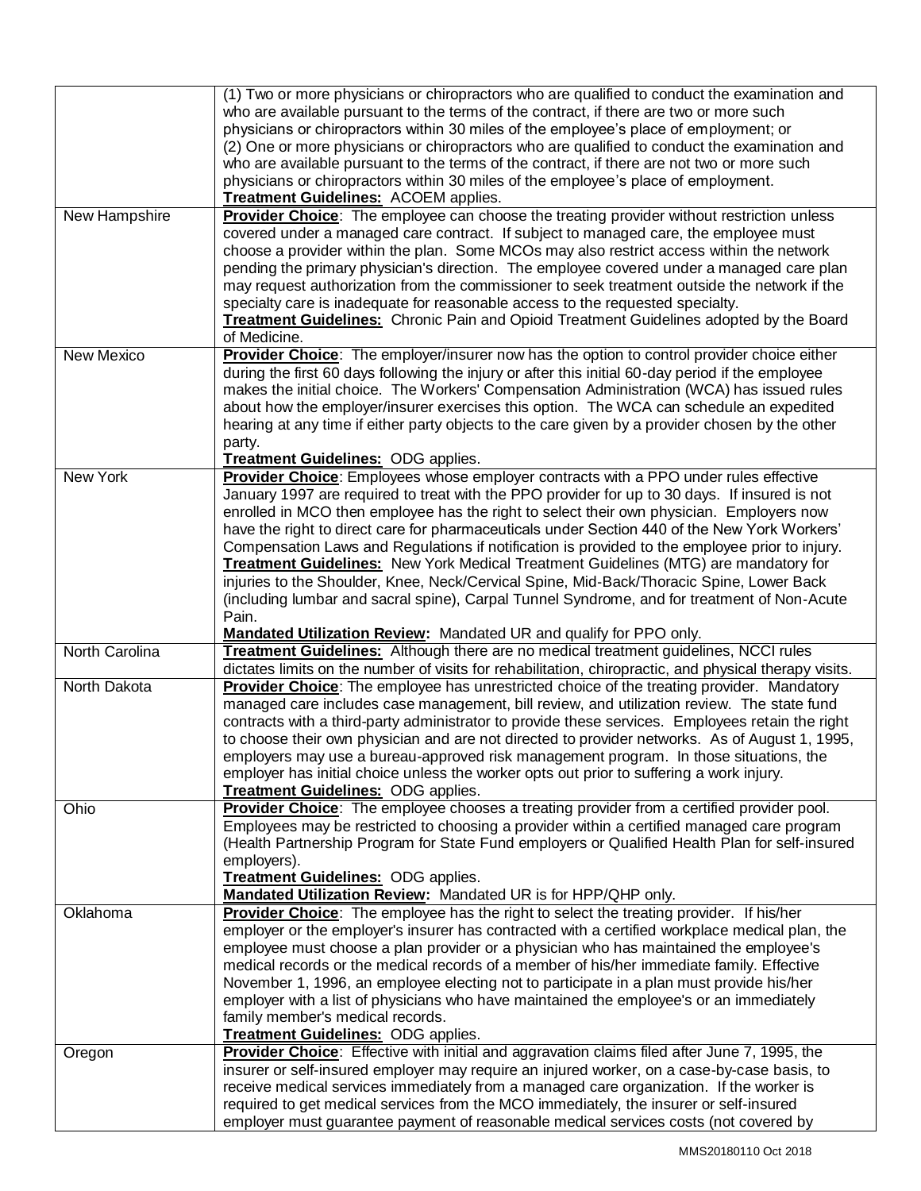|                | (1) Two or more physicians or chiropractors who are qualified to conduct the examination and<br>who are available pursuant to the terms of the contract, if there are two or more such   |
|----------------|------------------------------------------------------------------------------------------------------------------------------------------------------------------------------------------|
|                | physicians or chiropractors within 30 miles of the employee's place of employment; or                                                                                                    |
|                | (2) One or more physicians or chiropractors who are qualified to conduct the examination and                                                                                             |
|                | who are available pursuant to the terms of the contract, if there are not two or more such                                                                                               |
|                | physicians or chiropractors within 30 miles of the employee's place of employment.<br>Treatment Guidelines: ACOEM applies.                                                               |
| New Hampshire  | Provider Choice: The employee can choose the treating provider without restriction unless                                                                                                |
|                | covered under a managed care contract. If subject to managed care, the employee must                                                                                                     |
|                | choose a provider within the plan. Some MCOs may also restrict access within the network                                                                                                 |
|                | pending the primary physician's direction. The employee covered under a managed care plan                                                                                                |
|                | may request authorization from the commissioner to seek treatment outside the network if the                                                                                             |
|                | specialty care is inadequate for reasonable access to the requested specialty.                                                                                                           |
|                | <b>Treatment Guidelines:</b> Chronic Pain and Opioid Treatment Guidelines adopted by the Board                                                                                           |
|                | of Medicine.                                                                                                                                                                             |
| New Mexico     | Provider Choice: The employer/insurer now has the option to control provider choice either                                                                                               |
|                | during the first 60 days following the injury or after this initial 60-day period if the employee                                                                                        |
|                | makes the initial choice. The Workers' Compensation Administration (WCA) has issued rules                                                                                                |
|                | about how the employer/insurer exercises this option. The WCA can schedule an expedited                                                                                                  |
|                | hearing at any time if either party objects to the care given by a provider chosen by the other                                                                                          |
|                | party.                                                                                                                                                                                   |
|                | Treatment Guidelines: ODG applies.                                                                                                                                                       |
| New York       | Provider Choice: Employees whose employer contracts with a PPO under rules effective                                                                                                     |
|                | January 1997 are required to treat with the PPO provider for up to 30 days. If insured is not                                                                                            |
|                | enrolled in MCO then employee has the right to select their own physician. Employers now<br>have the right to direct care for pharmaceuticals under Section 440 of the New York Workers' |
|                | Compensation Laws and Regulations if notification is provided to the employee prior to injury.                                                                                           |
|                | <b>Treatment Guidelines:</b> New York Medical Treatment Guidelines (MTG) are mandatory for                                                                                               |
|                | injuries to the Shoulder, Knee, Neck/Cervical Spine, Mid-Back/Thoracic Spine, Lower Back                                                                                                 |
|                | (including lumbar and sacral spine), Carpal Tunnel Syndrome, and for treatment of Non-Acute                                                                                              |
|                | Pain.                                                                                                                                                                                    |
|                | Mandated Utilization Review: Mandated UR and qualify for PPO only.                                                                                                                       |
| North Carolina | <b>Treatment Guidelines:</b> Although there are no medical treatment guidelines, NCCI rules                                                                                              |
|                | dictates limits on the number of visits for rehabilitation, chiropractic, and physical therapy visits.                                                                                   |
| North Dakota   | <b>Provider Choice:</b> The employee has unrestricted choice of the treating provider. Mandatory                                                                                         |
|                | managed care includes case management, bill review, and utilization review. The state fund                                                                                               |
|                | contracts with a third-party administrator to provide these services. Employees retain the right                                                                                         |
|                | to choose their own physician and are not directed to provider networks. As of August 1, 1995,                                                                                           |
|                | employers may use a bureau-approved risk management program. In those situations, the                                                                                                    |
|                | employer has initial choice unless the worker opts out prior to suffering a work injury.                                                                                                 |
|                | <b>Treatment Guidelines: ODG applies.</b>                                                                                                                                                |
| Ohio           | Provider Choice: The employee chooses a treating provider from a certified provider pool.                                                                                                |
|                | Employees may be restricted to choosing a provider within a certified managed care program                                                                                               |
|                | (Health Partnership Program for State Fund employers or Qualified Health Plan for self-insured                                                                                           |
|                | employers).                                                                                                                                                                              |
|                | Treatment Guidelines: ODG applies.<br>Mandated Utilization Review: Mandated UR is for HPP/QHP only.                                                                                      |
| Oklahoma       | Provider Choice: The employee has the right to select the treating provider. If his/her                                                                                                  |
|                | employer or the employer's insurer has contracted with a certified workplace medical plan, the                                                                                           |
|                | employee must choose a plan provider or a physician who has maintained the employee's                                                                                                    |
|                | medical records or the medical records of a member of his/her immediate family. Effective                                                                                                |
|                | November 1, 1996, an employee electing not to participate in a plan must provide his/her                                                                                                 |
|                | employer with a list of physicians who have maintained the employee's or an immediately                                                                                                  |
|                | family member's medical records.                                                                                                                                                         |
|                | <b>Treatment Guidelines: ODG applies.</b>                                                                                                                                                |
| Oregon         | Provider Choice: Effective with initial and aggravation claims filed after June 7, 1995, the                                                                                             |
|                | insurer or self-insured employer may require an injured worker, on a case-by-case basis, to                                                                                              |
|                | receive medical services immediately from a managed care organization. If the worker is                                                                                                  |
|                | required to get medical services from the MCO immediately, the insurer or self-insured                                                                                                   |
|                | employer must guarantee payment of reasonable medical services costs (not covered by                                                                                                     |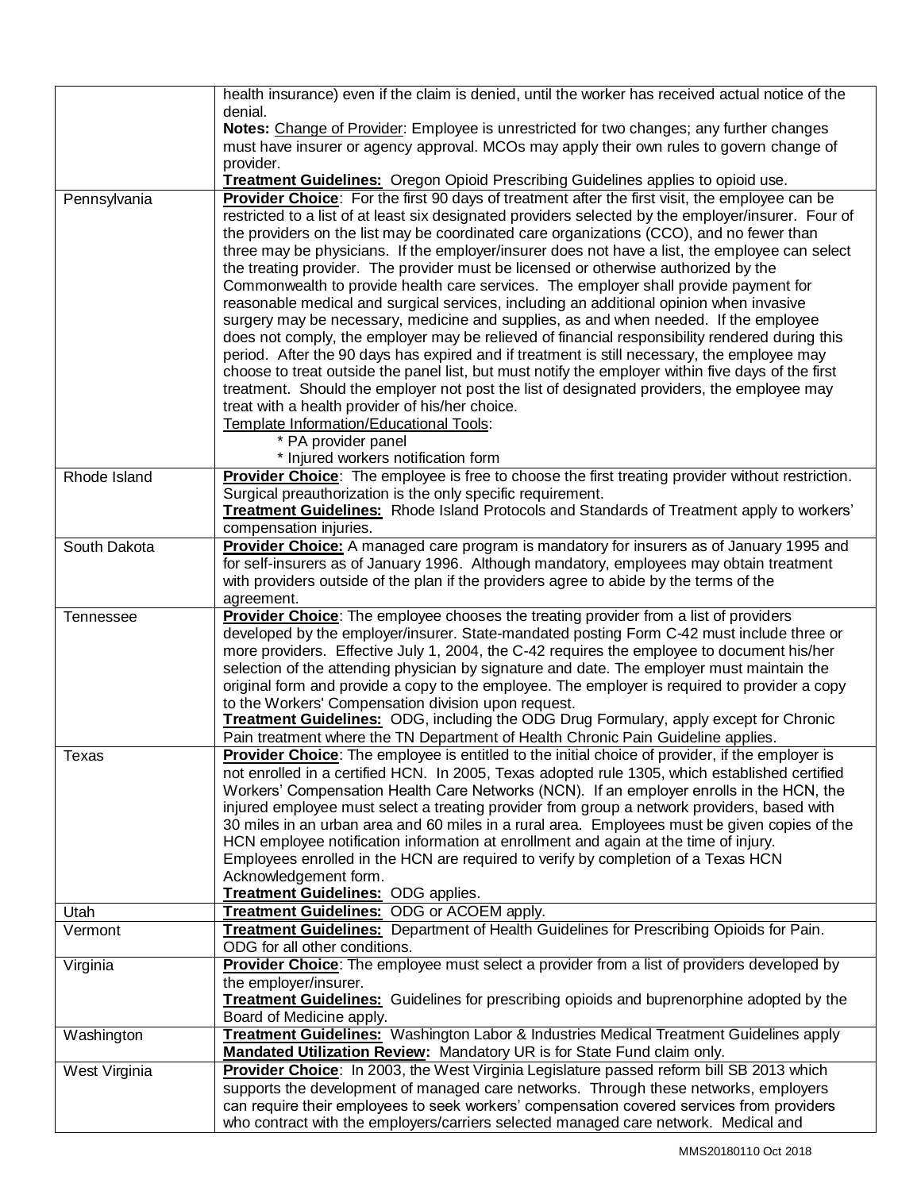|                  | health insurance) even if the claim is denied, until the worker has received actual notice of the                                                                                             |
|------------------|-----------------------------------------------------------------------------------------------------------------------------------------------------------------------------------------------|
|                  | denial.<br>Notes: Change of Provider: Employee is unrestricted for two changes; any further changes                                                                                           |
|                  | must have insurer or agency approval. MCOs may apply their own rules to govern change of                                                                                                      |
|                  | provider.                                                                                                                                                                                     |
|                  | <b>Treatment Guidelines:</b> Oregon Opioid Prescribing Guidelines applies to opioid use.                                                                                                      |
| Pennsylvania     | Provider Choice: For the first 90 days of treatment after the first visit, the employee can be                                                                                                |
|                  | restricted to a list of at least six designated providers selected by the employer/insurer. Four of                                                                                           |
|                  | the providers on the list may be coordinated care organizations (CCO), and no fewer than<br>three may be physicians. If the employer/insurer does not have a list, the employee can select    |
|                  | the treating provider. The provider must be licensed or otherwise authorized by the                                                                                                           |
|                  | Commonwealth to provide health care services. The employer shall provide payment for                                                                                                          |
|                  | reasonable medical and surgical services, including an additional opinion when invasive                                                                                                       |
|                  | surgery may be necessary, medicine and supplies, as and when needed. If the employee                                                                                                          |
|                  | does not comply, the employer may be relieved of financial responsibility rendered during this<br>period. After the 90 days has expired and if treatment is still necessary, the employee may |
|                  | choose to treat outside the panel list, but must notify the employer within five days of the first                                                                                            |
|                  | treatment. Should the employer not post the list of designated providers, the employee may                                                                                                    |
|                  | treat with a health provider of his/her choice.                                                                                                                                               |
|                  | Template Information/Educational Tools:<br>* PA provider panel                                                                                                                                |
|                  | * Injured workers notification form                                                                                                                                                           |
| Rhode Island     | Provider Choice: The employee is free to choose the first treating provider without restriction.                                                                                              |
|                  | Surgical preauthorization is the only specific requirement.                                                                                                                                   |
|                  | <b>Treatment Guidelines:</b> Rhode Island Protocols and Standards of Treatment apply to workers'                                                                                              |
| South Dakota     | compensation injuries.<br>Provider Choice: A managed care program is mandatory for insurers as of January 1995 and                                                                            |
|                  | for self-insurers as of January 1996. Although mandatory, employees may obtain treatment                                                                                                      |
|                  | with providers outside of the plan if the providers agree to abide by the terms of the                                                                                                        |
|                  | agreement.                                                                                                                                                                                    |
| <b>Tennessee</b> | Provider Choice: The employee chooses the treating provider from a list of providers                                                                                                          |
|                  | developed by the employer/insurer. State-mandated posting Form C-42 must include three or<br>more providers. Effective July 1, 2004, the C-42 requires the employee to document his/her       |
|                  | selection of the attending physician by signature and date. The employer must maintain the                                                                                                    |
|                  | original form and provide a copy to the employee. The employer is required to provider a copy                                                                                                 |
|                  | to the Workers' Compensation division upon request.                                                                                                                                           |
|                  | Treatment Guidelines: ODG, including the ODG Drug Formulary, apply except for Chronic<br>Pain treatment where the TN Department of Health Chronic Pain Guideline applies.                     |
| Texas            | Provider Choice: The employee is entitled to the initial choice of provider, if the employer is                                                                                               |
|                  | not enrolled in a certified HCN. In 2005, Texas adopted rule 1305, which established certified                                                                                                |
|                  | Workers' Compensation Health Care Networks (NCN). If an employer enrolls in the HCN, the                                                                                                      |
|                  | injured employee must select a treating provider from group a network providers, based with<br>30 miles in an urban area and 60 miles in a rural area. Employees must be given copies of the  |
|                  | HCN employee notification information at enrollment and again at the time of injury.                                                                                                          |
|                  | Employees enrolled in the HCN are required to verify by completion of a Texas HCN                                                                                                             |
|                  | Acknowledgement form.                                                                                                                                                                         |
| Utah             | Treatment Guidelines: ODG applies.<br>Treatment Guidelines: ODG or ACOEM apply.                                                                                                               |
| Vermont          | Treatment Guidelines: Department of Health Guidelines for Prescribing Opioids for Pain.                                                                                                       |
|                  | ODG for all other conditions.                                                                                                                                                                 |
| Virginia         | Provider Choice: The employee must select a provider from a list of providers developed by                                                                                                    |
|                  | the employer/insurer.                                                                                                                                                                         |
|                  | Treatment Guidelines: Guidelines for prescribing opioids and buprenorphine adopted by the<br>Board of Medicine apply.                                                                         |
| Washington       | <b>Treatment Guidelines:</b> Washington Labor & Industries Medical Treatment Guidelines apply                                                                                                 |
|                  | Mandated Utilization Review: Mandatory UR is for State Fund claim only.                                                                                                                       |
| West Virginia    | Provider Choice: In 2003, the West Virginia Legislature passed reform bill SB 2013 which                                                                                                      |
|                  | supports the development of managed care networks. Through these networks, employers                                                                                                          |
|                  | can require their employees to seek workers' compensation covered services from providers<br>who contract with the employers/carriers selected managed care network. Medical and              |